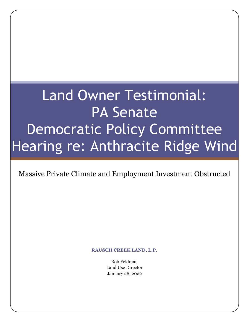# Land Owner Testimonial: PA Senate Democratic Policy Committee Hearing re: Anthracite Ridge Wind

Massive Private Climate and Employment Investment Obstructed

**RAUSCH CREEK LAND, L.P.**

Rob Feldman Land Use Director January 28, 2022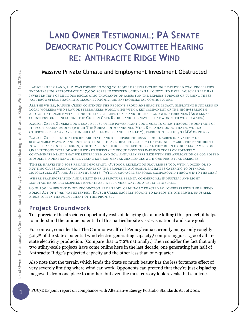# **LAND OWNER TESTIMONIAL: PA SENATE DEMOCRATIC POLICY COMMITTEE HEARING RE: ANTHRACITE RIDGE WIND**

## Massive Private Climate and Employment Investment Obstructed

RAUSCH CREEK LAND, L.P. WAS FORMED IN 2003 TO ACQUIRE ASSETS INCLUDING DISTRESSED COAL PROPERTIES ENCOMPASSING APPROXIMATELY 17,000 ACRES IN WESTERN SCHUYLKILL COUNTY. TO DATE RAUSCH CREEK HAS INVESTED TENS OF MILLIONS RECLAIMING THOUSANDS OF ACRES FOR THE EXPRESS PURPOSE OF TURNING THESE VAST BROWNFIELDS BACK INTO MAJOR ECONOMIC AND ENVIRONMENTAL CONTRIBUTORS.

ALL THE WHILE, RAUSCH CREEK CONTINUES THE REGION'S PROUD ANTHRACITE LEGACY, EMPLOYING HUNDREDS OF LOCAL WORKERS WHO PROVIDE STEELMAKERS WORLDWIDE WITH A KEY COMPONENT OF THE HIGH-STRENGTH ALLOYS THAT ENABLE VITAL PRODUCTS LIKE EFFICIENT CARS AND TRUCKS – AND WIND TURBINES. (AS WELL AS COUNTLESS ICONS INCLUDING THE GOLDEN GATE BRIDGE AND THE NAVIES THAT WON BOTH WORLD WARS.)

RAUSCH CREEK GENERATION'S COAL REFUSE-FIRED POWER PLANT CONTINUES TO CHEW THROUGH MOUNTAINS OF ITS ECO-HAZARDOUS DIET (WHICH THE BUREAU OF ABANDONED MINE RECLAMATION ESTIMATES WOULD OTHERWISE BE A TAXPAYER FUNDED \$16 BILLION CLEANUP LIABILITY), FEEDING THE GRID 30+MW OF POWER.

RAUSCH CREEK SUBSIDIARIES REHABILITATE AND REPURPOSE THOUSANDS MORE ACRES IN A VARIETY OF SUSTAINABLE WAYS. ABANDONED STRIPPING PITS ARE IDEAL FOR SAFELY CONTAINING FLY ASH , THE BYPRODUCT OF POWER PLANTS IN THE REGION, RIGHT BACK IN THE HOLES WHERE THE COAL THEY BURN ORIGINALLY CAME FROM. ONE VIRTUOUS CYCLE OF WHICH WE ARE ESPECIALLY PROUD INVOLVES FARMING CROPS ON FORMERLY CONTAMINATED LAND THAT WE REVITALIZED AND NOW ANNUALLY FERTILIZE WITH THE APPLICATION OF COMPOSTED BIOSOLIDS, ADDRESSING THREE VEXING ENVIRONMENTAL CHALLENGES WITH ONE PERPETUAL EXERCISE.

TIMBER HARVESTING JOBS REMAIN IMPORTANT. OUTDOOR RECREATION FLOURISHES TOO, WITH A DOZEN OR SO HUNTING CLUBS LEASING VARIOUS PARTS OF THE PROPERTY, ALONGSIDE FACILITIES CATERING TO OFF-ROAD MOTORCYCLE, ATV AND JEEP ENTHUSIASTS. (WITH A 400-ACRE SEASONAL CAMPGROUND THROWN INTO THE MIX.)

WHERE TRANSPORTATION AND UTILITY INFRASTRUCTURE PERMIT, COMMERCIAL/INDUSTRIAL AND LIGHT MANUFACTURING DEVELOPMENT EFFORTS ARE WELL UNDER WAY, ON A TRULY EPIC SCALE.

SO IN 2004 WHEN THE WIND PRODUCTION TAX CREDIT, ORIGINALLY ENACTED BY CONGRESS WITH THE ENERGY POLICY ACT OF 1992, WAS EXTENDED, RAUSCH CREEK EAGERLY SOUGHT TO EMPLOY ITS OTHERWISE UNUSABLE RIDGE TOPS IN THE FULFILLMENT OF THIS PROMISE.

# **Project Groundwork**

To appreciate the atrocious opportunity costs of delaying (let alone killing) this project, it helps to understand the unique potential of this particular site vis-à-vis national and state goals.

For context, consider that The Commonwealth of Pennsylvania currently enjoys only roughly 3.25% of the state's potential wind electric generating capacity, <sup>1</sup> comprising just 1.5% of all instate electricity production. (Compare that to 7.2% nationally.) Then consider the fact that only two utility-scale projects have come online here in the last decade, one generating just half of Anthracite Ridge's projected capacity and the other less than one-quarter.

Also note that the terrain which lends the State so much beauty has the less fortunate effect of very severely limiting where wind can work. Opponents can pretend that they're just displacing megawatts from one place to another, but even the most cursory look reveals that's untrue.

<sup>&</sup>lt;sup>1</sup> PUC/DEP joint report on compliance with Alternative Energy Portfolio Standards Act of 2004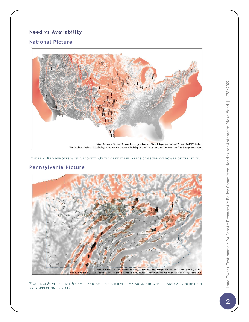### **Need vs Availability**

#### **National Picture**



FIGURE 1: RED DENOTES WIND VELOCITY. ONLY DARKEST RED AREAS CAN SUPPORT POWER GENERATION.



#### **Pennsylvania Picture**

FIGURE 2: STATE FOREST & GAME LAND EXCEPTED, WHAT REMAINS AND HOW TOLERANT CAN YOU BE OF ITS EXPROPRIATION BY FIAT?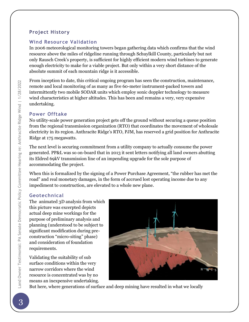#### **Project History**

#### **Wind Resource Validation**

In 2006 meteorological monitoring towers began gathering data which confirms that the wind resource above the miles of ridgeline running through Schuylkill County, particularly but not only Rausch Creek's property, is sufficient for highly efficient modern wind turbines to generate enough electricity to make for a viable project. But only within a very short distance of the absolute summit of each mountain ridge is it accessible.

From inception to date, this critical ongoing program has seen the construction, maintenance, remote and local monitoring of as many as five 60-meter instrument-packed towers and intermittently two mobile SODAR units which employ sonic doppler technology to measure wind characteristics at higher altitudes. This has been and remains a very, very expensive undertaking.

#### **Power Offtake**

No utility-scale power generation project gets off the ground without securing a queue position from the regional transmission organization (RTO) that coordinates the movement of wholesale electricity in its region. Anthracite Ridge's RTO, PJM, has reserved a grid position for Anthracite Ridge at 175 megawatts.

The next level is securing commitment from a utility company to actually consume the power generated. PP&L was so on-board that in 2013 it sent letters notifying all land owners abutting its Eldred 69kV transmission line of an impending upgrade for the sole purpose of accommodating the project.

When this is formalized by the signing of a Power Purchase Agreement, "the rubber has met the road" and real monetary damages, in the form of accrued lost operating income due to any impediment to construction, are elevated to a whole new plane.

#### **Geotechnical**

The animated 3D analysis from which this picture was excerpted depicts actual deep mine workings for the purpose of preliminary analysis and planning (understood to be subject to significant modification during preconstruction "micro-siting" phase) and consideration of foundation requirements.

Validating the suitability of sub surface conditions within the very narrow corridors where the wind resource is concentrated was by no means an inexpensive undertaking.



But here, where generations of surface and deep mining have resulted in what we locally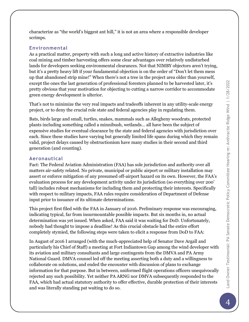characterize as "the world's biggest ant hill," it is not an area where a responsible developer scrimps.

#### **Environmental**

As a practical matter, property with such a long and active history of extractive industries like coal mining and timber harvesting offers some clear advantages over relatively undisturbed lands for developers seeking environmental clearances. Not that NIMBY objectors aren't trying, but it's a pretty heavy lift if your fundamental objection is on the order of "Don't let them mess up that abandoned strip mine!" When there's not a tree in the project area older than yourself, except the ones the last generation of professional foresters planned to be harvested later, it's pretty obvious that your motivation for objecting to cutting a narrow corridor to accommodate green energy development is ulterior.

That's not to minimize the very real impacts and tradeoffs inherent in any utility-scale energy project, or to deny the crucial role state and federal agencies play in regulating them.

Bats, birds large and small, turtles, snakes, mammals such as Allegheny woodrats, protected plants including something called a minnibush, wetlands… all have been the subject of expensive studies for eventual clearance by the state and federal agencies with jurisdiction over each. Since these studies have varying but generally limited life spans during which they remain valid, project delays caused by obstructionism have many studies in their second and third generation (and counting).

#### **Aeronautical**

Fact: The Federal Aviation Administration (FAA) has sole jurisdiction and authority over all matters air-safety related. No private, municipal or public airport or military installation may assert or enforce mitigation of any presumed off-airport hazard on its own. However, the FAA's evaluation process for any development activity under its jurisdiction (so everything over 200' tall) includes robust mechanisms for including them and protecting their interests. Specifically with respect to military impacts, FAA rules require consideration of Department of Defense input prior to issuance of its ultimate determinations.

This project first filed with the FAA in January of 2016. Preliminary response was encouraging, indicating typical, far from insurmountable possible impacts. But six months in, no actual determination was yet issued. When asked, FAA said it was waiting for DoD. Unfortunately, nobody had thought to impose a deadline! As this crucial obstacle had the entire effort completely stymied, the following steps were taken to elicit a response from DoD to FAA:

In August of 2016 I arranged (with the much-appreciated help of Senator Dave Argall and particularly his Chief of Staff) a meeting at Fort Indiantown Gap among the wind developer with its aviation and military consultants and large contingents from the DMVA and PA Army National Guard. DMVA counsel led off the meeting asserting both a duty and a willingness to collaborate on solutions, and ended the encounter with discussion of plans to exchange information for that purpose. But in between, uniformed flight operations officers unequivocally rejected any such possibility. Yet neither PA ARNG nor DMVA subsequently responded to the FAA, which had actual statutory authority to offer effective, durable protection of their interests and was literally standing pat waiting to do so.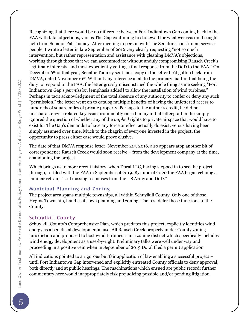Recognizing that there would be no difference between Fort Indiantown Gap coming back to the FAA with fatal objections, versus The Gap continuing to stonewall for whatever reason, I sought help from Senator Pat Toomey. After meeting in person with The Senator's constituent services people, I wrote a letter in late September of 2016 very clearly requesting "not so much intervention, but rather representation and assistance with gleaning DMVA's objections, working through those that we can accommodate without unduly compromising Rausch Creek's legitimate interests, and most expediently getting a final response from the DoD to the FAA." On December 6<sup>th</sup> of that year, Senator Toomey sent me a copy of the letter he'd gotten back from DMVA, dated November 21<sup>st</sup>. Without any reference at all to the primary matter, that being the duty to respond to the FAA, the letter grossly misconstrued the whole thing as me seeking "Fort Indiantown Gap's *permission* [emphasis added] to allow the installation of wind turbines." Perhaps in tacit acknowledgment of the total absence of any authority to confer or deny any such "permission," the letter went on to catalog multiple benefits of having the unfettered access to hundreds of square miles of private property. Perhaps to the author's credit, he did not mischaracterize a related key issue prominently raised in my initial letter; rather, he simply ignored the question of whether any of the *implied* rights to private airspace that would have to exist for The Gap's demands to have any force or effect actually do exist, versus having been simply assumed over time. Much to the chagrin of everyone invested in the project, the opportunity to press either case would prove elusive.

The date of that DMVA response letter, November 21st, 2016, also appears atop another bit of correspondence Rausch Creek would soon receive – from the development company at the time, abandoning the project.

Which brings us to more recent history, when Doral LLC, having stepped in to see the project through, re-filed with the FAA in September of 2019. By June of 2020 the FAA began echoing a familiar refrain, "still missing responses from the US Army and DoD."

#### **Municipal Planning and Zoning**

The project area spans multiple townships, all within Schuylkill County. Only one of those, Hegins Township, handles its own planning and zoning. The rest defer those functions to the County.

#### **Schuylkill County**

Schuylkill County's Comprehensive Plan, which predates this project, explicitly identifies wind energy as a beneficial developmental use. All Rausch Creek property under County zoning jurisdiction and proposed to host wind turbines is in a zoning district which specifically includes wind energy development as a use-by-right. Preliminary talks were well under way and proceeding in a positive vein when in September of 2019 Doral filed a permit application.

All indications pointed to a rigorous but fair application of law enabling a successful project – until Fort Indiantown Gap intervened and explicitly entreated County officials to deny approval, both directly and at public hearings. The machinations which ensued are public record; further commentary here would inappropriately risk prejudicing possible and/or pending litigation.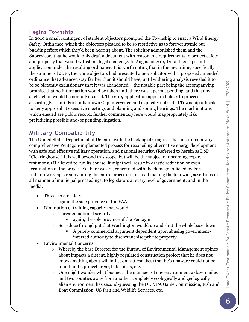#### **Hegins Township**

In 2010 a small contingent of strident objectors prompted the Township to enact a Wind Energy Safety Ordinance, which the objectors pleaded to be so restrictive as to forever stymie our budding effort which they'd been hearing about. The solicitor admonished them and the Supervisors that he would only draft a document with reasonable requirements to protect safety and property that would withstand legal challenge. In August of 2019 Doral filed a permit application under the resulting ordinance. It is worth noting that in the meantime, specifically the summer of 2016, the same objectors had presented a new solicitor with a proposed amended ordinance that advanced way farther than it should have, until withering analysis revealed it to be so blatantly exclusionary that it was abandoned – the notable part being the accompanying promise that no future action would be taken until there was a permit pending, and that any such action would be non-adversarial. The 2019 application appeared likely to proceed accordingly – until Fort Indiantown Gap intervened and explicitly entreated Township officials to deny approval at executive meetings and planning and zoning hearings. The machinations which ensued are public record; further commentary here would inappropriately risk prejudicing possible and/or pending litigation.

# **Military Compatibility**

The United States Department of Defense, with the backing of Congress, has instituted a very comprehensive Pentagon-implemented process for reconciling alternative energy development with safe and effective military operation, and national security. (Referred to herein as DoD "Clearinghouse." It is well beyond this scope, but will be the subject of upcoming expert testimony.) If allowed to run its course, it might well result in drastic reduction or even termination of the project. Yet here we are, concerned with the damage inflicted by Fort Indiantown Gap circumventing the entire procedure, instead making the following assertions in all manner of municipal proceedings, to legislators at every level of government, and in the media:

- Threat to air safety
	- o again, the sole province of the FAA.
- Diminution of training capacity that would:
	- o Threaten national security
		- again, the sole province of the Pentagon
	- $\circ$  So reduce throughput that Washington would up and shut the whole base down
		- A purely commercial argument dependent upon abusing governmentinferred authority to disenfranchise private property
- Environmental Concerns
	- $\circ$  Whereby the base Director for the Bureau of Environmental Management opines about impacts a distant, highly regulated construction project that he does not know anything about will inflict on rattlesnakes (that he's unaware could not be found in the project area), bats, birds, etc.
	- $\circ$  One might wonder what business the manager of one environment a dozen miles and two counties away from another completely ecologically and geologically alien environment has second-guessing the DEP, PA Game Commission, Fish and Boat Commission, US Fish and Wildlife Services, etc.